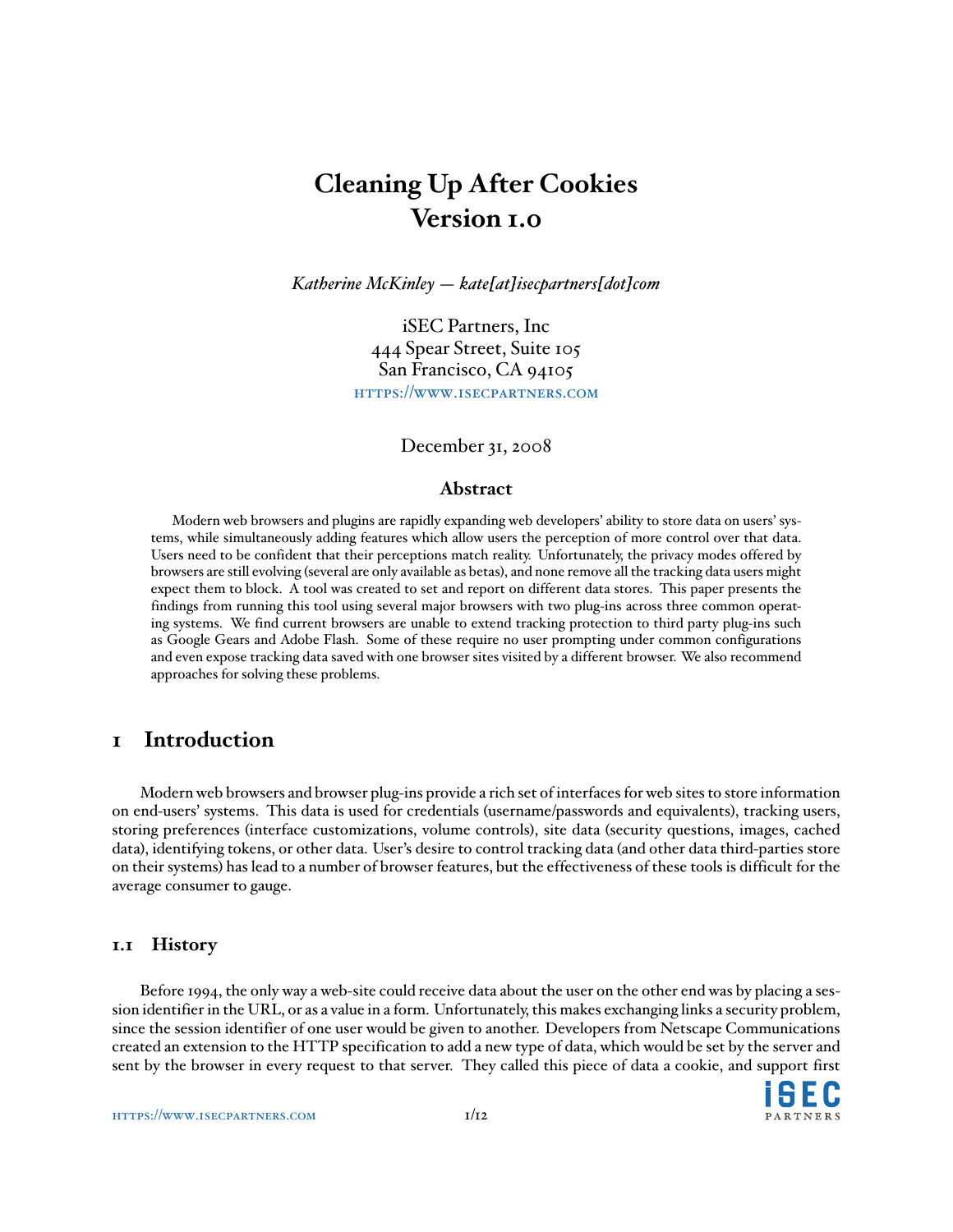# **Cleaning Up After Cookies Version 1.0**

*Katherine McKinley — kate[at]isecpartners[dot]com*

iSEC Partners, Inc 444 Spear Street, Suite 105 San Francisco, CA 94105 <https://www.isecpartners.com>

#### December 31, 2008

#### **Abstract**

Modern web browsers and plugins are rapidly expanding web developers' ability to store data on users' systems, while simultaneously adding features which allow users the perception of more control over that data. Users need to be confident that their perceptions match reality. Unfortunately, the privacy modes offered by browsers are still evolving (several are only available as betas), and none remove all the tracking data users might expect them to block. A tool was created to set and report on different data stores. This paper presents the findings from running this tool using several major browsers with two plug-ins across three common operating systems. We find current browsers are unable to extend tracking protection to third party plug-ins such as Google Gears and Adobe Flash. Some of these require no user prompting under common configurations and even expose tracking data saved with one browser sites visited by a different browser. We also recommend approaches for solving these problems.

### **1 Introduction**

Modern web browsers and browser plug-ins provide a rich set of interfaces for web sites to store information on end-users' systems. This data is used for credentials (username/passwords and equivalents), tracking users, storing preferences (interface customizations, volume controls), site data (security questions, images, cached data), identifying tokens, or other data. User's desire to control tracking data (and other data third-parties store on their systems) has lead to a number of browser features, but the effectiveness of these tools is difficult for the average consumer to gauge.

#### **1.1 History**

Before 1994, the only way a web-site could receive data about the user on the other end was by placing a session identifier in the URL, or as a value in a form. Unfortunately, this makes exchanging links a security problem, since the session identifier of one user would be given to another. Developers from Netscape Communications created an extension to the HTTP specification to add a new type of data, which would be set by the server and sent by the browser in every request to that server. They called this piece of data a cookie, and support first

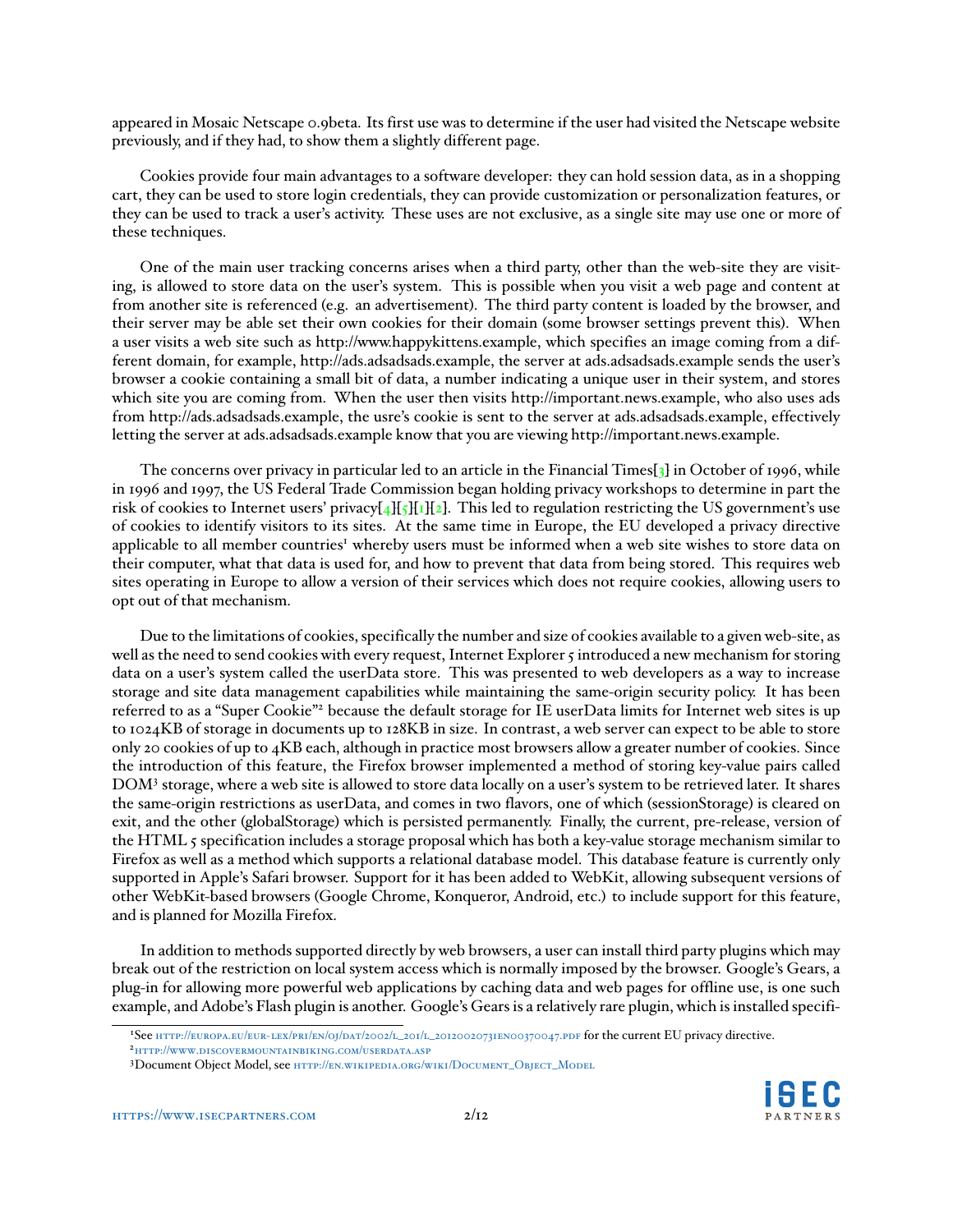<span id="page-1-3"></span>appeared in Mosaic Netscape 0.9beta. Its first use was to determine if the user had visited the Netscape website previously, and if they had, to show them a slightly different page.

Cookies provide four main advantages to a software developer: they can hold session data, as in a shopping cart, they can be used to store login credentials, they can provide customization or personalization features, or they can be used to track a user's activity. These uses are not exclusive, as a single site may use one or more of these techniques.

One of the main user tracking concerns arises when a third party, other than the web-site they are visiting, is allowed to store data on the user's system. This is possible when you visit a web page and content at from another site is referenced (e.g. an advertisement). The third party content is loaded by the browser, and their server may be able set their own cookies for their domain (some browser settings prevent this). When a user visits a web site such as http://www.happykittens.example, which specifies an image coming from a different domain, for example, http://ads.adsadsads.example, the server at ads.adsadsads.example sends the user's browser a cookie containing a small bit of data, a number indicating a unique user in their system, and stores which site you are coming from. When the user then visits http://important.news.example, who also uses ads from http://ads.adsadsads.example, the usre's cookie is sent to the server at ads.adsadsads.example, effectively letting the server at ads.adsadsads.example know that you are viewing http://important.news.example.

The concerns over privacy in particular led to an article in the Financial Times[\[3\]](#page-11-1) in October of 1996, while in 1996 and 1997, the US Federal Trade Commission began holding privacy workshops to determine in part the risk of cookies to Internet users' privacy $[4]\frac{1}{5}$  $[4]\frac{1}{5}$ [\[1\]](#page-11-4)[\[2\]](#page-11-5). This led to regulation restricting the US government's use of cookies to identify visitors to its sites. At the same time in Europe, the EU developed a privacy directive applicable to all member countries<sup>[1](#page-1-0)</sup> whereby users must be informed when a web site wishes to store data on their computer, what that data is used for, and how to prevent that data from being stored. This requires web sites operating in Europe to allow a version of their services which does not require cookies, allowing users to opt out of that mechanism.

Due to the limitations of cookies, specifically the number and size of cookies available to a given web-site, as well as the need to send cookies with every request, Internet Explorer 5 introduced a new mechanism for storing data on a user's system called the userData store. This was presented to web developers as a way to increase storage and site data management capabilities while maintaining the same-origin security policy. It has been referred to as a "Super Cookie"[2](#page-1-1) because the default storage for IE userData limits for Internet web sites is up to 1024KB of storage in documents up to 128KB in size. In contrast, a web server can expect to be able to store only 20 cookies of up to 4KB each, although in practice most browsers allow a greater number of cookies. Since the introduction of this feature, the Firefox browser implemented a method of storing key-value pairs called DOM[3](#page-1-2) storage, where a web site is allowed to store data locally on a user's system to be retrieved later. It shares the same-origin restrictions as userData, and comes in two flavors, one of which (sessionStorage) is cleared on exit, and the other (globalStorage) which is persisted permanently. Finally, the current, pre-release, version of the HTML 5 specification includes a storage proposal which has both a key-value storage mechanism similar to Firefox as well as a method which supports a relational database model. This database feature is currently only supported in Apple's Safari browser. Support for it has been added to WebKit, allowing subsequent versions of other WebKit-based browsers (Google Chrome, Konqueror, Android, etc.) to include support for this feature, and is planned for Mozilla Firefox.

In addition to methods supported directly by web browsers, a user can install third party plugins which may break out of the restriction on local system access which is normally imposed by the browser. Google's Gears, a plug-in for allowing more powerful web applications by caching data and web pages for offline use, is one such example, and Adobe's Flash plugin is another. Google's Gears is a relatively rare plugin, which is installed specifi-



<span id="page-1-0"></span><sup>1</sup>See [http://europa.eu/eur-lex/pri/en/oj/dat/2002/l\\_201/l\\_20120020731en00370047.pdf](http://europa.eu/eur-lex/pri/en/oj/dat/2002/l_201/l_20120020731en00370047.pdf) for the current EU privacy directive.

<span id="page-1-1"></span><sup>2</sup><http://www.discovermountainbiking.com/userdata.asp>

<span id="page-1-2"></span><sup>3</sup>Document Object Model, see [http://en.wikipedia.org/wiki/Document\\_Object\\_Model](http://en.wikipedia.org/wiki/Document_Object_Model)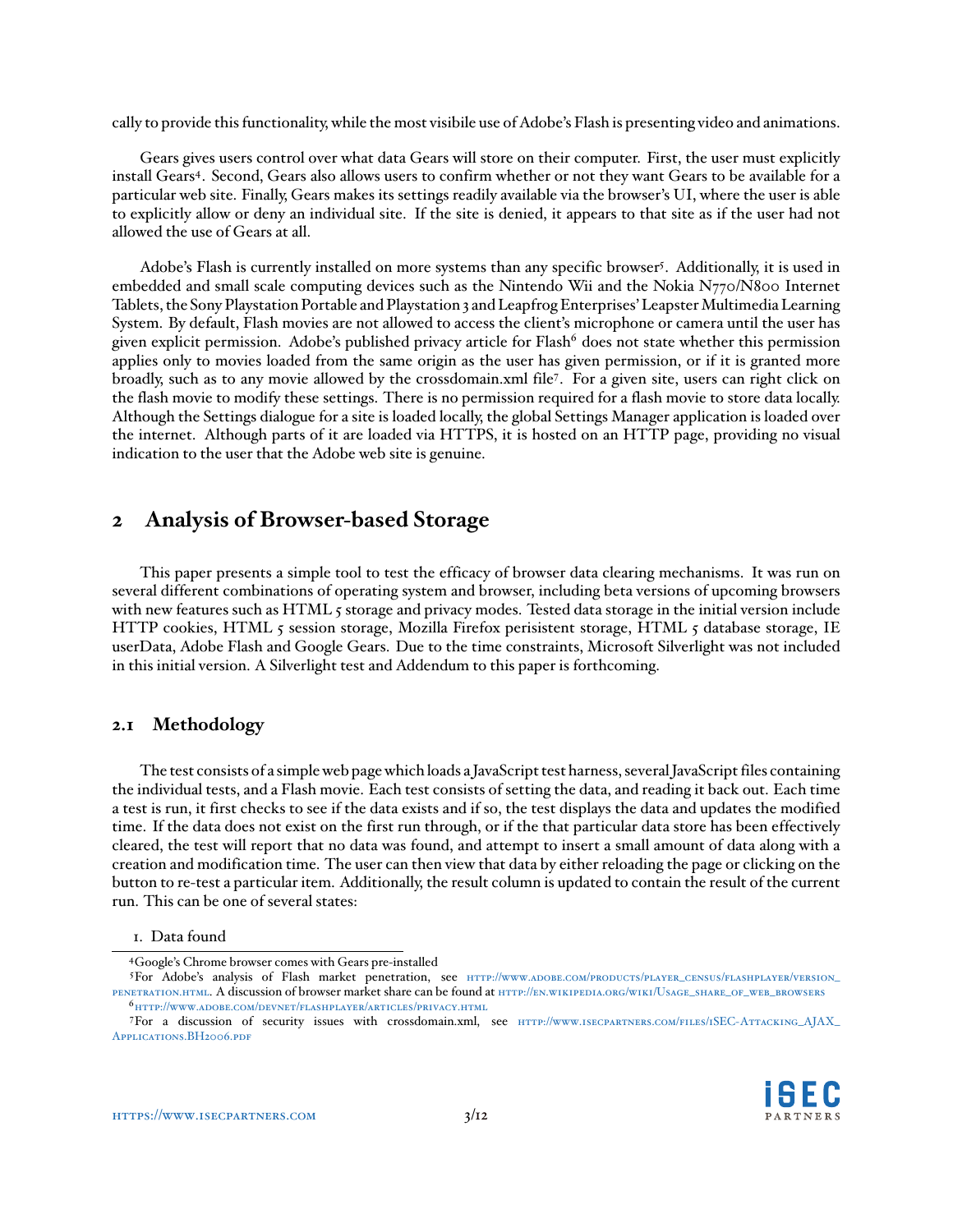cally to provide this functionality, while the most visibile use of Adobe's Flash is presenting video and animations.

Gears gives users control over what data Gears will store on their computer. First, the user must explicitly install Gears<sup>[4](#page-2-0)</sup>. Second, Gears also allows users to confirm whether or not they want Gears to be available for a particular web site. Finally, Gears makes its settings readily available via the browser's UI, where the user is able to explicitly allow or deny an individual site. If the site is denied, it appears to that site as if the user had not allowed the use of Gears at all.

Adobe's Flash is currently installed on more systems than any specific browser<sup>[5](#page-2-1)</sup>. Additionally, it is used in embedded and small scale computing devices such as the Nintendo Wii and the Nokia N770/N800 Internet Tablets, the Sony Playstation Portable and Playstation 3 and Leapfrog Enterprises' Leapster Multimedia Learning System. By default, Flash movies are not allowed to access the client's microphone or camera until the user has given explicit permission. Adobe's published privacy article for Flash $^6$  $^6$  does not state whether this permission applies only to movies loaded from the same origin as the user has given permission, or if it is granted more broadly, such as to any movie allowed by the crossdomain.xml file<sup>[7](#page-2-3)</sup>. For a given site, users can right click on the flash movie to modify these settings. There is no permission required for a flash movie to store data locally. Although the Settings dialogue for a site is loaded locally, the global Settings Manager application is loaded over the internet. Although parts of it are loaded via HTTPS, it is hosted on an HTTP page, providing no visual indication to the user that the Adobe web site is genuine.

## **2 Analysis of Browser-based Storage**

This paper presents a simple tool to test the efficacy of browser data clearing mechanisms. It was run on several different combinations of operating system and browser, including beta versions of upcoming browsers with new features such as HTML 5 storage and privacy modes. Tested data storage in the initial version include HTTP cookies, HTML 5 session storage, Mozilla Firefox perisistent storage, HTML 5 database storage, IE userData, Adobe Flash and Google Gears. Due to the time constraints, Microsoft Silverlight was not included in this initial version. A Silverlight test and Addendum to this paper is forthcoming.

#### **2.1 Methodology**

The test consists of a simple web page which loads a JavaScript test harness, several JavaScript files containing the individual tests, and a Flash movie. Each test consists of setting the data, and reading it back out. Each time a test is run, it first checks to see if the data exists and if so, the test displays the data and updates the modified time. If the data does not exist on the first run through, or if the that particular data store has been effectively cleared, the test will report that no data was found, and attempt to insert a small amount of data along with a creation and modification time. The user can then view that data by either reloading the page or clicking on the button to re-test a particular item. Additionally, the result column is updated to contain the result of the current run. This can be one of several states:

<span id="page-2-3"></span><span id="page-2-2"></span><sup>7</sup>For a discussion of security issues with crossdomain.xml, see [http://www.isecpartners.com/files/iSEC-Attacking\\_AJAX\\_](http://www.isecpartners.com/files/iSEC-Attacking_AJAX_Applications.BH2006.pdf) [Applications.BH2006.pdf](http://www.isecpartners.com/files/iSEC-Attacking_AJAX_Applications.BH2006.pdf)



<sup>1.</sup> Data found

<span id="page-2-1"></span><span id="page-2-0"></span><sup>4</sup>Google's Chrome browser comes with Gears pre-installed

<sup>5</sup>For Adobe's analysis of Flash market penetration, see HTTP://www.ADOBE.COM/PRODUCTS/PLAYER\_CENSUS/FLASHPLAYER/VERSION\_ [penetration.html](http://www.adobe.com/products/player_census/flashplayer/version_penetration.html). A discussion of browser market share can be found at [http://en.wikipedia.org/wiki/Usage\\_share\\_of\\_web\\_browsers](http://en.wikipedia.org/wiki/Usage_share_of_web_browsers)  $6$ <http://www.adobe.com/devnet/flashplayer/articles/privacy.html>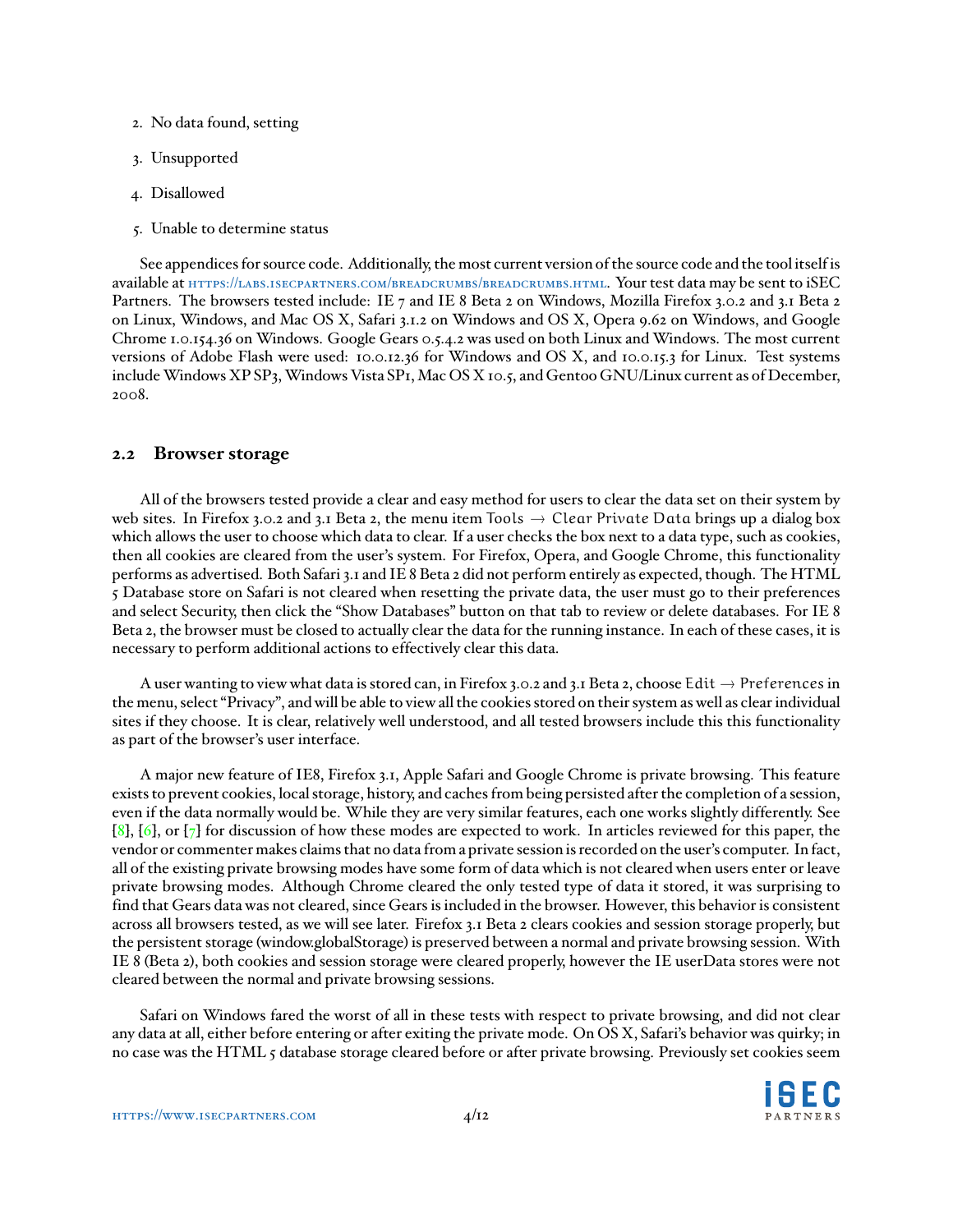- <span id="page-3-0"></span>2. No data found, setting
- 3. Unsupported
- 4. Disallowed
- 5. Unable to determine status

See appendices for source code. Additionally, the most current version of the source code and the tool itself is available at <https://labs.isecpartners.com/breadcrumbs/breadcrumbs.html>. Your test data may be sent to iSEC Partners. The browsers tested include: IE 7 and IE 8 Beta 2 on Windows, Mozilla Firefox 3.0.2 and 3.1 Beta 2 on Linux, Windows, and Mac OS X, Safari 3.1.2 on Windows and OS X, Opera 9.62 on Windows, and Google Chrome 1.0.154.36 on Windows. Google Gears 0.5.4.2 was used on both Linux and Windows. The most current versions of Adobe Flash were used: 10.0.12.36 for Windows and OS X, and 10.0.15.3 for Linux. Test systems include Windows XP SP3, Windows Vista SP1, Mac OS X 10.5, and Gentoo GNU/Linux current as of December, 2008.

#### **2.2 Browser storage**

All of the browsers tested provide a clear and easy method for users to clear the data set on their system by web sites. In Firefox 3.0.2 and 3.1 Beta 2, the menu item Tools  $\rightarrow$  Clear Private Data brings up a dialog box which allows the user to choose which data to clear. If a user checks the box next to a data type, such as cookies, then all cookies are cleared from the user's system. For Firefox, Opera, and Google Chrome, this functionality performs as advertised. Both Safari 3.1 and IE 8 Beta 2 did not perform entirely as expected, though. The HTML 5 Database store on Safari is not cleared when resetting the private data, the user must go to their preferences and select Security, then click the "Show Databases" button on that tab to review or delete databases. For IE 8 Beta 2, the browser must be closed to actually clear the data for the running instance. In each of these cases, it is necessary to perform additional actions to effectively clear this data.

A user wanting to view what data is stored can, in Firefox 3.0.2 and 3.1 Beta 2, choose Edit  $\rightarrow$  Preferences in the menu, select "Privacy", and will be able to view all the cookies stored on their system as well as clear individual sites if they choose. It is clear, relatively well understood, and all tested browsers include this this functionality as part of the browser's user interface.

A major new feature of IE8, Firefox 3.1, Apple Safari and Google Chrome is private browsing. This feature exists to prevent cookies, local storage, history, and caches from being persisted after the completion of a session, even if the data normally would be. While they are very similar features, each one works slightly differently. See  $[8]$ ,  $[6]$ , or  $[7]$  for discussion of how these modes are expected to work. In articles reviewed for this paper, the vendor or commenter makes claims that no data from a private session is recorded on the user's computer. In fact, all of the existing private browsing modes have some form of data which is not cleared when users enter or leave private browsing modes. Although Chrome cleared the only tested type of data it stored, it was surprising to find that Gears data was not cleared, since Gears is included in the browser. However, this behavior is consistent across all browsers tested, as we will see later. Firefox 3.1 Beta 2 clears cookies and session storage properly, but the persistent storage (window.globalStorage) is preserved between a normal and private browsing session. With IE 8 (Beta 2), both cookies and session storage were cleared properly, however the IE userData stores were not cleared between the normal and private browsing sessions.

Safari on Windows fared the worst of all in these tests with respect to private browsing, and did not clear any data at all, either before entering or after exiting the private mode. On OS X, Safari's behavior was quirky; in no case was the HTML 5 database storage cleared before or after private browsing. Previously set cookies seem

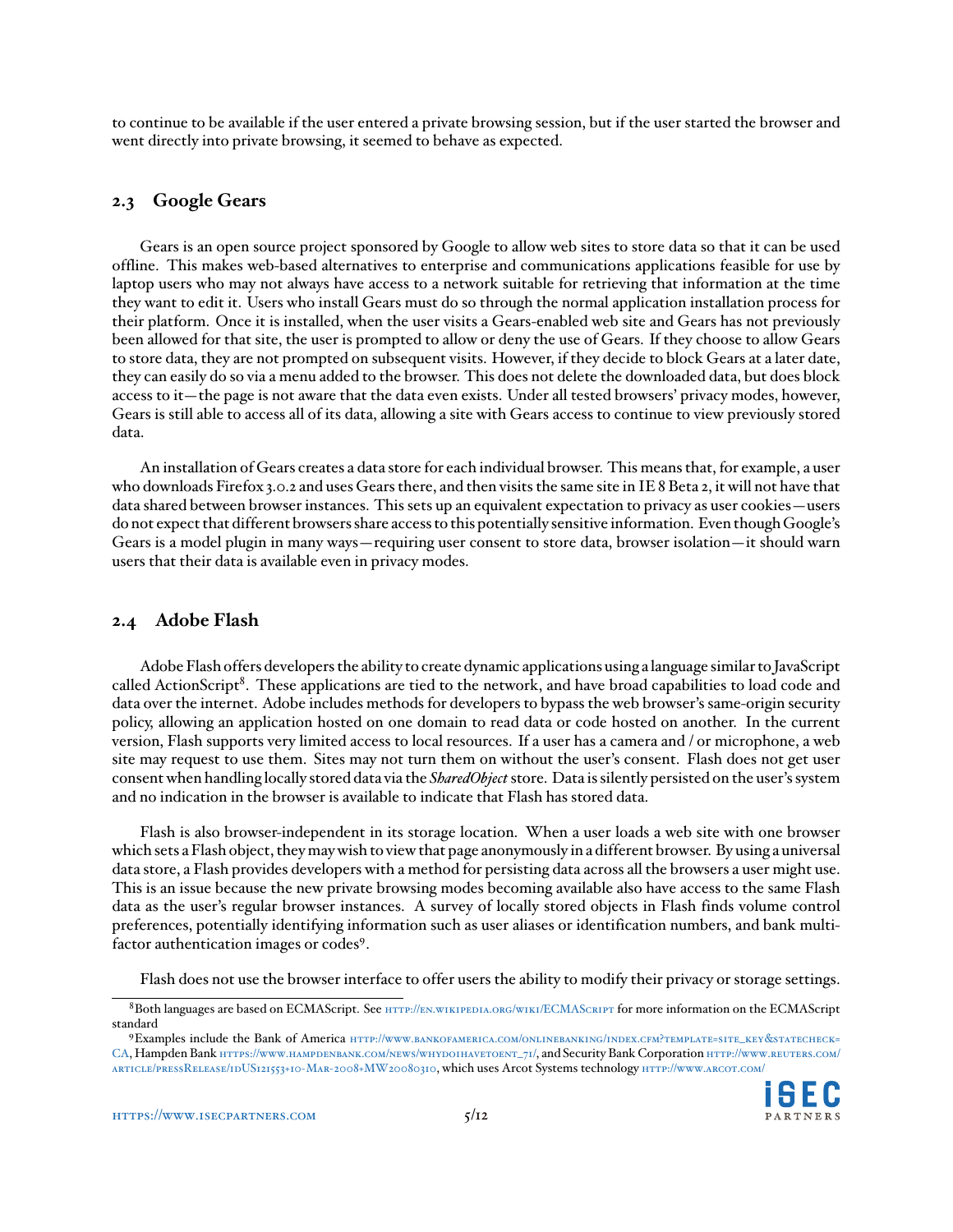to continue to be available if the user entered a private browsing session, but if the user started the browser and went directly into private browsing, it seemed to behave as expected.

#### **2.3 Google Gears**

Gears is an open source project sponsored by Google to allow web sites to store data so that it can be used offline. This makes web-based alternatives to enterprise and communications applications feasible for use by laptop users who may not always have access to a network suitable for retrieving that information at the time they want to edit it. Users who install Gears must do so through the normal application installation process for their platform. Once it is installed, when the user visits a Gears-enabled web site and Gears has not previously been allowed for that site, the user is prompted to allow or deny the use of Gears. If they choose to allow Gears to store data, they are not prompted on subsequent visits. However, if they decide to block Gears at a later date, they can easily do so via a menu added to the browser. This does not delete the downloaded data, but does block access to it—the page is not aware that the data even exists. Under all tested browsers' privacy modes, however, Gears is still able to access all of its data, allowing a site with Gears access to continue to view previously stored data.

An installation of Gears creates a data store for each individual browser. This means that, for example, a user who downloads Firefox 3.0.2 and uses Gears there, and then visits the same site in IE 8 Beta 2, it will not have that data shared between browser instances. This sets up an equivalent expectation to privacy as user cookies—users do not expect that different browsers share access to this potentially sensitive information. Even though Google's Gears is a model plugin in many ways—requiring user consent to store data, browser isolation—it should warn users that their data is available even in privacy modes.

#### **2.4 Adobe Flash**

Adobe Flash offers developers the ability to create dynamic applications using a language similar to JavaScript called ActionScript<sup>[8](#page-4-0)</sup>. These applications are tied to the network, and have broad capabilities to load code and data over the internet. Adobe includes methods for developers to bypass the web browser's same-origin security policy, allowing an application hosted on one domain to read data or code hosted on another. In the current version, Flash supports very limited access to local resources. If a user has a camera and / or microphone, a web site may request to use them. Sites may not turn them on without the user's consent. Flash does not get user consent when handling locally stored data via the *SharedObject*store. Data is silently persisted on the user's system and no indication in the browser is available to indicate that Flash has stored data.

Flash is also browser-independent in its storage location. When a user loads a web site with one browser which sets a Flash object, they may wish to view that page anonymously in a different browser. By using a universal data store, a Flash provides developers with a method for persisting data across all the browsers a user might use. This is an issue because the new private browsing modes becoming available also have access to the same Flash data as the user's regular browser instances. A survey of locally stored objects in Flash finds volume control preferences, potentially identifying information such as user aliases or identification numbers, and bank multi-factor authentication images or codes<sup>[9](#page-4-1)</sup>.

Flash does not use the browser interface to offer users the ability to modify their privacy or storage settings.

<span id="page-4-1"></span><sup>9</sup>Examples include the Bank of America [http://www.bankofamerica.com/onlinebanking/index.cfm?template=site\\_key](http://www.bankofamerica.com/onlinebanking/index.cfm?template=site_key&statecheck=CA)&statecheck= [CA](http://www.bankofamerica.com/onlinebanking/index.cfm?template=site_key&statecheck=CA), Hampden Bank [https://www.hampdenbank.com/news/whydoihavetoent\\_71/](https://www.hampdenbank.com/news/whydoihavetoent_71/), and Security Bank Corporation [http://www.reuters.com/](http://www.reuters.com/article/pressRelease/idUS121553+10-Mar-2008+MW20080310) [article/pressRelease/idUS121553+10-Mar-2008+MW20080310](http://www.reuters.com/article/pressRelease/idUS121553+10-Mar-2008+MW20080310), which uses Arcot Systems technology <http://www.arcot.com/>



<span id="page-4-0"></span><sup>8</sup>Both languages are based on ECMAScript. See **HTTP://EN.WIKIPEDIA.ORG/WIKI/ECMASCRIPT** for more information on the ECMAScript standard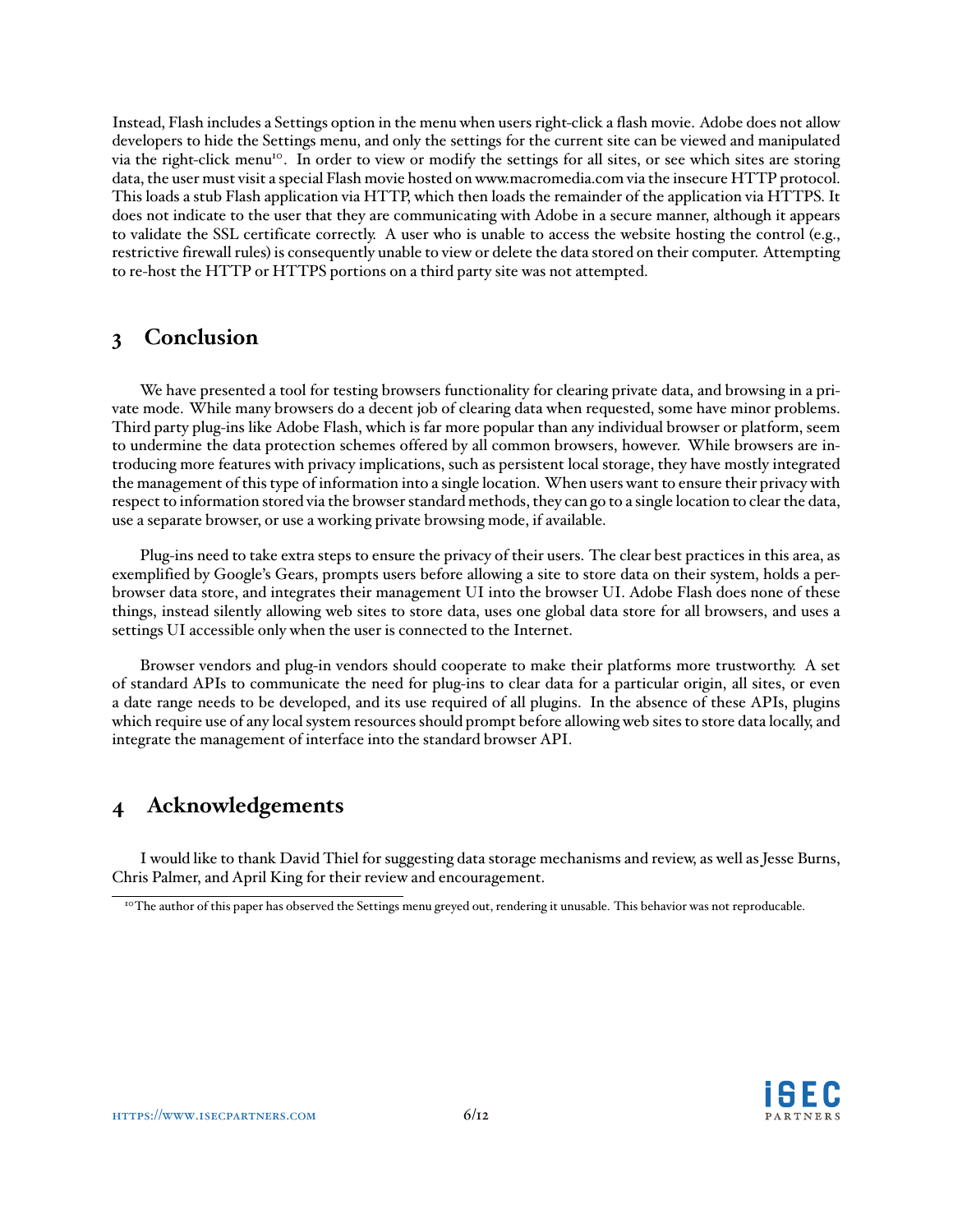Instead, Flash includes a Settings option in the menu when users right-click a flash movie. Adobe does not allow developers to hide the Settings menu, and only the settings for the current site can be viewed and manipulated via the right-click menu<sup>[10](#page-5-0)</sup>. In order to view or modify the settings for all sites, or see which sites are storing data, the user must visit a special Flash movie hosted on www.macromedia.com via the insecure HTTP protocol. This loads a stub Flash application via HTTP, which then loads the remainder of the application via HTTPS. It does not indicate to the user that they are communicating with Adobe in a secure manner, although it appears to validate the SSL certificate correctly. A user who is unable to access the website hosting the control (e.g., restrictive firewall rules) is consequently unable to view or delete the data stored on their computer. Attempting to re-host the HTTP or HTTPS portions on a third party site was not attempted.

### **3 Conclusion**

We have presented a tool for testing browsers functionality for clearing private data, and browsing in a private mode. While many browsers do a decent job of clearing data when requested, some have minor problems. Third party plug-ins like Adobe Flash, which is far more popular than any individual browser or platform, seem to undermine the data protection schemes offered by all common browsers, however. While browsers are introducing more features with privacy implications, such as persistent local storage, they have mostly integrated the management of this type of information into a single location. When users want to ensure their privacy with respect to information stored via the browser standard methods, they can go to a single location to clear the data, use a separate browser, or use a working private browsing mode, if available.

Plug-ins need to take extra steps to ensure the privacy of their users. The clear best practices in this area, as exemplified by Google's Gears, prompts users before allowing a site to store data on their system, holds a perbrowser data store, and integrates their management UI into the browser UI. Adobe Flash does none of these things, instead silently allowing web sites to store data, uses one global data store for all browsers, and uses a settings UI accessible only when the user is connected to the Internet.

Browser vendors and plug-in vendors should cooperate to make their platforms more trustworthy. A set of standard APIs to communicate the need for plug-ins to clear data for a particular origin, all sites, or even a date range needs to be developed, and its use required of all plugins. In the absence of these APIs, plugins which require use of any local system resources should prompt before allowing web sites to store data locally, and integrate the management of interface into the standard browser API.

# **4 Acknowledgements**

I would like to thank David Thiel for suggesting data storage mechanisms and review, as well as Jesse Burns, Chris Palmer, and April King for their review and encouragement.



<span id="page-5-0"></span><sup>&</sup>lt;sup>10</sup>The author of this paper has observed the Settings menu greyed out, rendering it unusable. This behavior was not reproducable.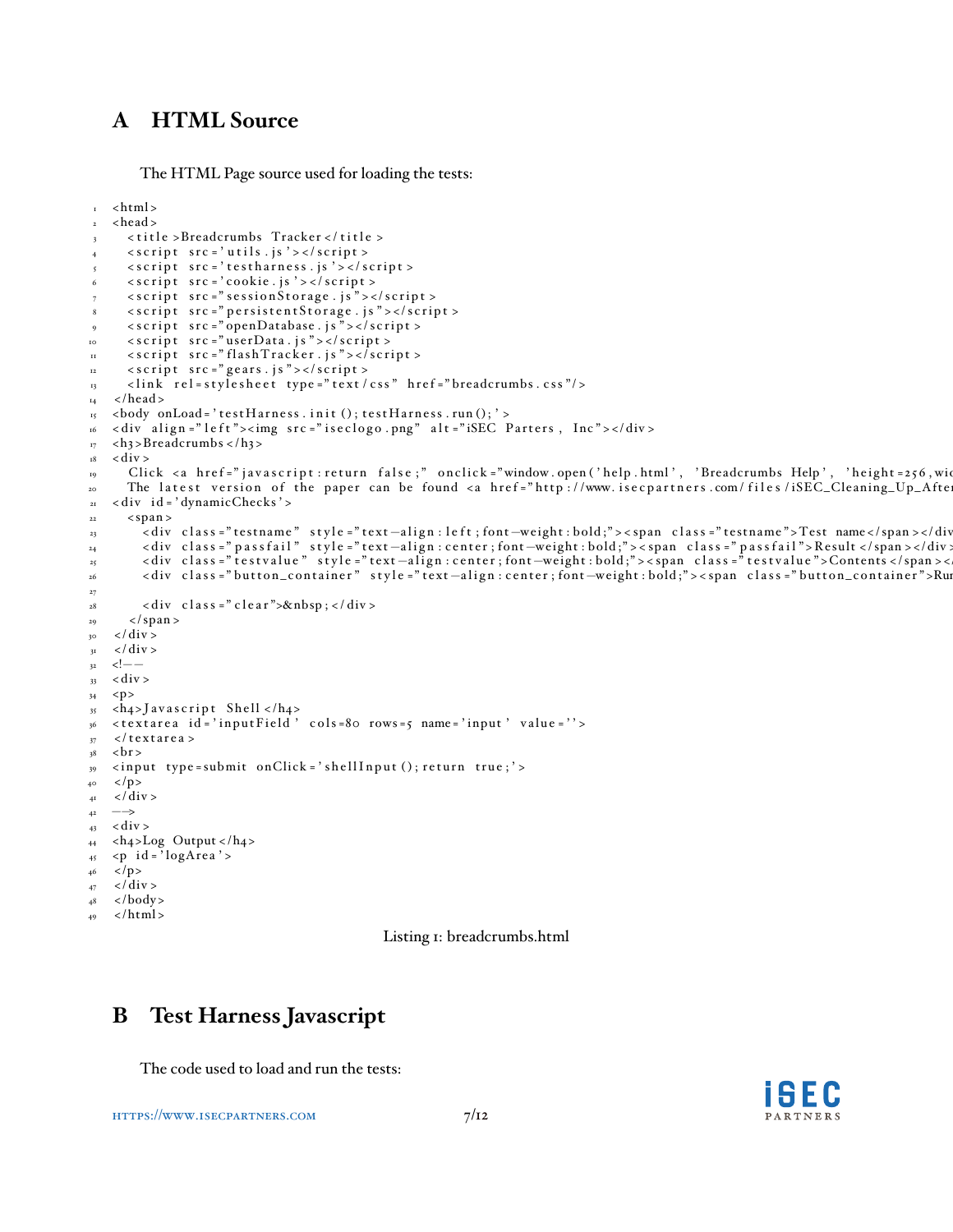# **A HTML Source**

The HTML Page source used for loading the tests:

```
\frac{1}{1} <html>
2 <head>
3 <title >Breadcrumbs Tracker </title >
      \langle \text{script } t \rangle src = 'utils.js'></script>
      <script src = 'testharness.js'></script>
      \langle \text{script } t \rangle src = 'cookie.js'></script>
      \langle \text{script } t \rangle src =" sessionStorage.js"></script>
 8 < script src = " persistent Storage . js " > </ script >
 9 < s c r i p t s r c = " openDatabase . j s " > </ s c r i p t >
10 < script src = "userData. js "></script>
11 <script src="flashTracker.js"></script>
12 \quad \text{sscript} \quad \text{src} = \text{"years is ">>/script>}13 <link rel=stylesheet type="text/css" href="breadcrumbs.css"/>
_{14} </head>
15 <br/>body onLoad = 'testHarness.init (); testHarness.run (); '>
16 < div align = "left"><img src = "iseclogo.png" alt = "iSEC Parters, Inc"></div>
r_7 <h3>Breadcrumbs </h3>
18 \quad < \text{div} >19 Click <a href="javascript:return false;" onclick="window.open('help.html', 'Breadcrumbs Help', 'height=256,wi
20 The latest version of the paper can be found <a href="http://www.isecpartners.com/files/iSEC_Cleaning_Up_Afte
21 \times div id = 'dynamicChecks'>
22 <span >
23 < div class = "testname" style = "text -align : left ; font-weight : bold; "><span class = "testname">Test name</span ></div
24 < div class ="passfail" style ="text −align : center ; font –weight : bold ;"><span class ="passfail">Result </span ></div :
25 < div class = "testvalue " style = "text −align : center ; font –weight : bold ; "><span class = "testvalue "> Contents </span ><
26 < div class = "button_container" style = "text-align: center; font-weight: bold;"><span class = "button_container">Ru
27
28 < div class = " clear ">&nbsp; </ div >
29 </span >
30 \frac{\text{dB}}{\text{30}}31 \frac{\mathrm{d}}{\mathrm{d}} \mathrm{d} \mathrm{d} \mathrm{v}32 \quad 1 --
33 < \text{div} >34 <p>
35 \langleh<sub>4</sub>>J av a s c r i p t Shell \langleh<sub>4</sub>>
36 <textarea id='inputField' cols=80 rows=5 name='input' value=''>
37 \times text are a >
38 <br>50 r
39 <input type=submit onClick='shellInput (); return true;'>
_{40} </p>
_{41} </div>
42 \rightarrow_{43} < div >
_{44} <h4>Log Output </h4>
_{45} <p id = 'logArea' >
_{46} </p>
_{47} </div>
48 \times /body\langle/html>
```
Listing 1: breadcrumbs.html

# **B Test Harness Javascript**

The code used to load and run the tests:

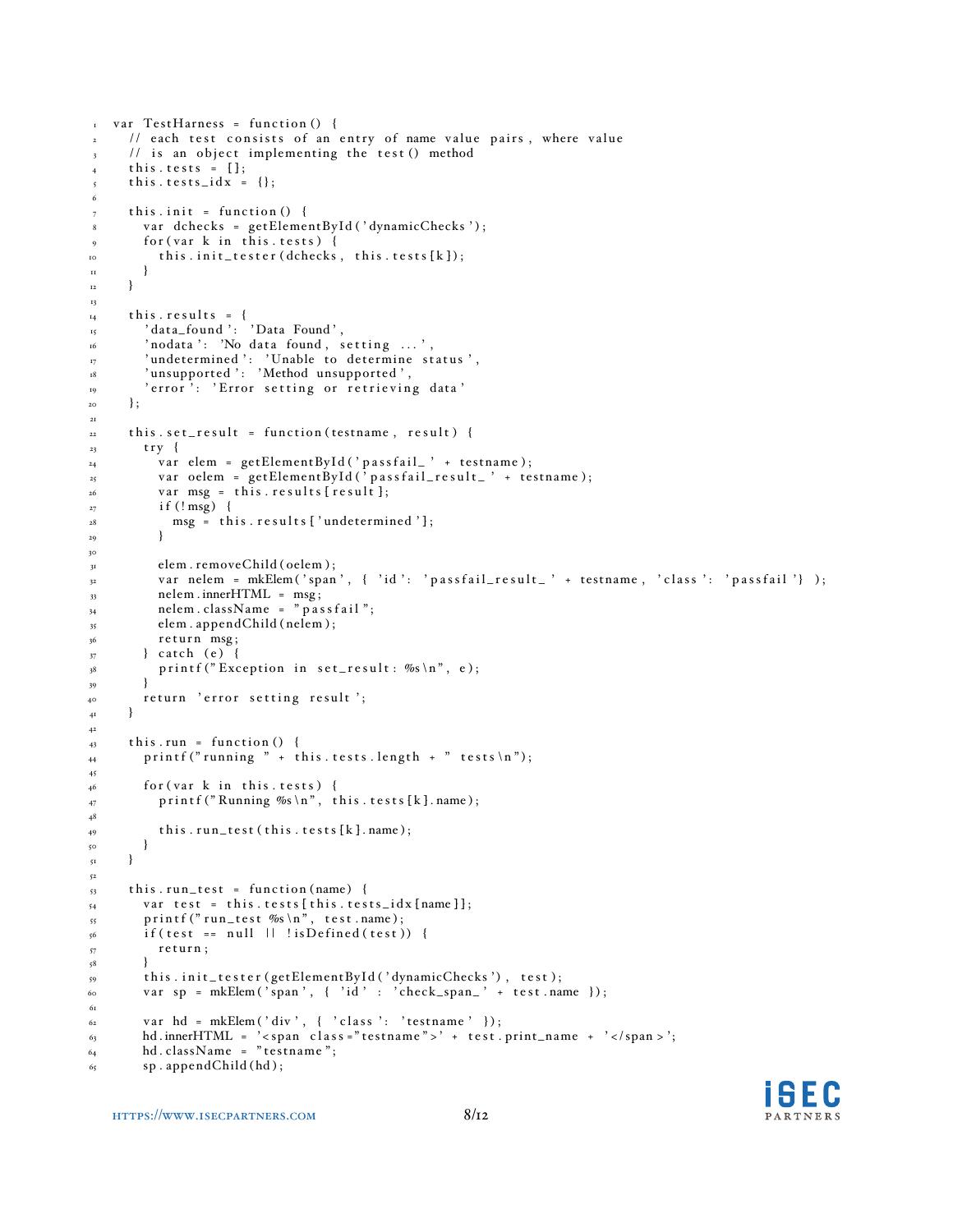```
\frac{1}{1} var TestHarness = function () {
2 // each test consists of an entry of name value pairs, where value
3 // is an object implementing the test () method
4 this. tests = [\;];
5 this.tests_idx = {};
6
7 this. init = function () {
8 var dchecks = getElementById ('dynamicChecks');
9 \text{ for (var } k \text{ in this. tests)}10 this.init_tester(dchecks, this.tests[k]);
\mathbf{H} }
_{12} }
13
t_{4} this. results = {
15 ' data_found ': 'Data Found',
\begin{array}{ccc} \n\text{16} \\
\text{16} \\
\text{17} \\
\text{18} \\
\text{19} \\
\text{10} \\
\text{10} \\
\text{11} \\
\text{10} \\
\text{11} \\
\text{10} \\
\text{11} \\
\text{12} \\
\text{13} \\
\text{14} \\
\text{15} \\
\text{16} \\
\text{16} \\
\text{17} \\
\text{18} \\
\text{19} \\
\text{10} \\
\text{10} \\
\text{11} \\
\text{12} \\
\text{13} \\
\text{16} \\
\text{16} \\
\text{17} \\
\text{18} \\
\\sigma_{17} \qquad 'undetermined ': 'Unable to determine status',
<sup>18</sup> 'unsupported ': 'Method unsupported',
19 'error': 'Error setting or retrieving data'
\overline{20} \cdot21
22 this . set_result = function (testname, result) {
23 try {
_{24} var elem = getElementById('passfail_' + testname);
\alpha_{25} var oelem = getElementById('passfail_result_' + testname);
v^2 var msg = this. results [result];
_{27} if (! msg) {
28 msg = this results ['undetermined'];
29 }
30
<sup>31</sup> elem . removeChild ( oelem );
var nelem = mkElem ('span', { 'id': 'passfail_result_' + testname, 'class': 'passfail'} );
33 nelem . innerHTML = msg;
_{34} nelem.className = "passfail";
_{35} elem . appendChild (nelem);
36 return msg;
37 } catch (e) {
38 printf ("Exception in set_result: %s\n", e);
39 }
40 return 'error setting result ';
41 }
42
_{43} this.run = function () {
_{44} printf (" running " + this. tests. length + " tests \n");
45
_{46} for (var k in this. tests) {
_{47} printf ("Running %s\n", this.tests[k].name);
48
_{49} this.run_test (this.tests [k].name);
\begin{array}{c} 50 \\ 51 \end{array}51 }
52
53 this . run_test = function (name) {
54 var test = this. tests [this. tests_idx [name ]];
55 printf (" run_test %s \n", test.name);
_{56} if (test == null \vert\vert ! isDefined (test)) {
57 return;
58 }
59 this.init_tester(getElementById('dynamicChecks'), test);
60 var sp = mkElem ('span', { 'id' : 'check_span_' + test.name });
61
62 var hd = mkElem ('div', { 'class': 'testname' });
63 hd.innerHTML = '<span class="testname">' + test.print_name + '</span >';
\epsilon_{4} hd . className = "testname";
65 sp. appendChild (hd);
```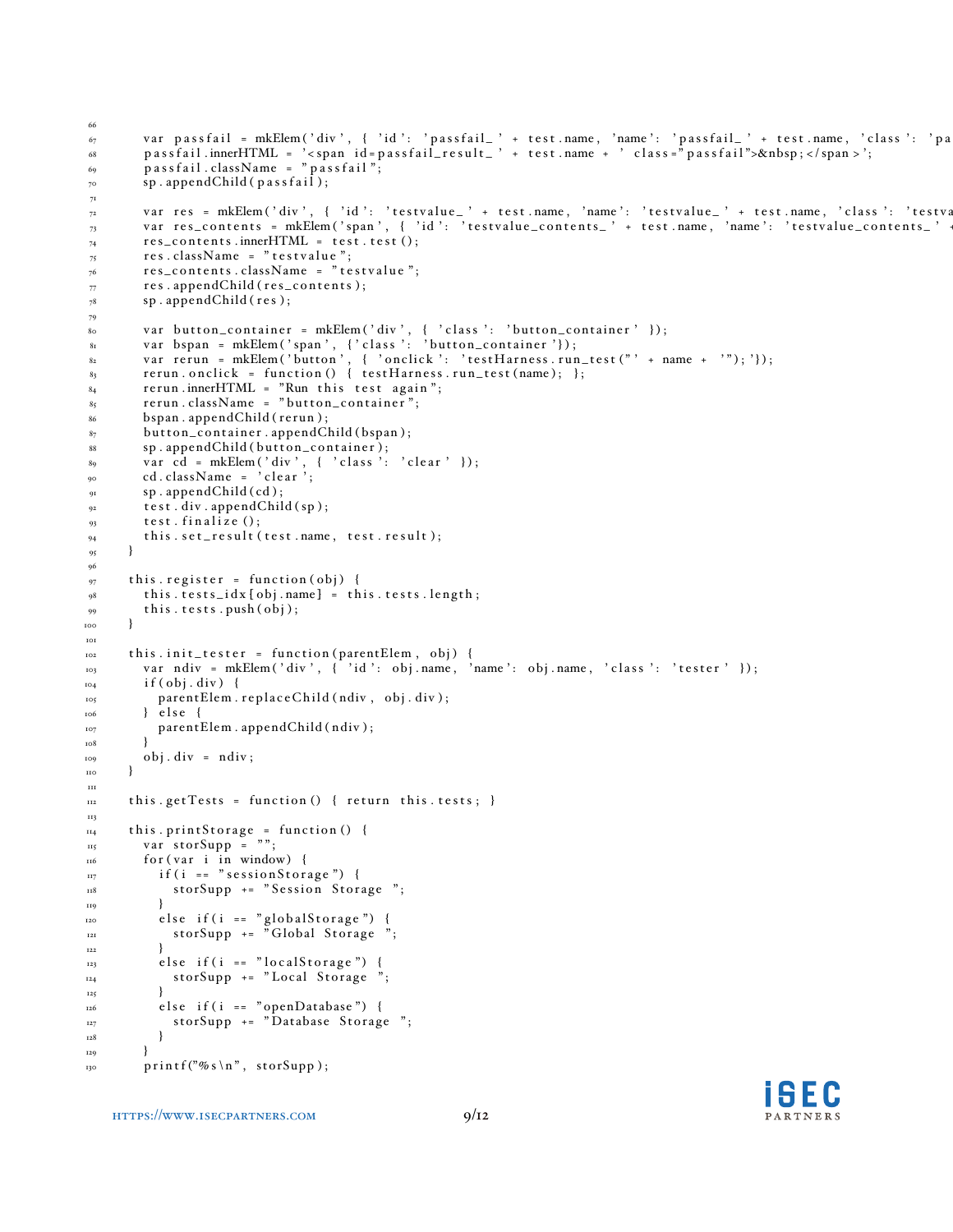```
66
\epsilon_7 var passfail = mkElem('div', { 'id': 'passfail_' + test.name, 'name': 'passfail_' + test.name, 'class': 'pa
68 p a s s f a i l . innerHTML = ' < span i d = p a s s f a i l _ r e s u l t _ ' + t e s t . name + ' c l a s s = " p a s s f a i l ">&nbsp ; < / span > ' ;
69 pass fail.className = "pass fail";
_{70} sp. appendChild (passfail);
71
 _{\gamma 2} var res = mkElem('div', { 'id': 'testvalue_' + test.name, 'name': 'testvalue_' + test.name, 'class': 'testva
 _{73} var res_contents = mkElem('span', { 'id': 'testvalue_contents_' + test.name, 'name': 'testvalue_contents_' +
r_{74} res_contents.innerHTML = test.test();
\frac{1}{75} res.className = "testvalue";
76 res_contents.className = "testvalue";
\tau res. appendChild (res_contents);
78 sp. appendChild (res);
79
80 var button_container = mkElem('div', { 'class': 'button_container' });
 \alpha var bspan = mkElem('span', {'class': 'button_container'});
 s_2 var rerun = mkElem ('button', { 'onclick': 'testHarness.run_test("' + name + '");'});
83 rerun.onclick = function () { testHarness.run_test (name); };
s_4 rerun.innerHTML = "Run this test again";
s<sub>5</sub> rerun.className = "button_container";
86 bspan. appendChild (rerun);
87 button_container.appendChild (bspan);
\text{sp} \cdot \text{appendChild} (button_container);
89 v a r cd = mkElem ( ' div ' , { ' c l a s s ' : ' c l e a r ' } ) ;
<sup>90</sup> cd. className = 'clear';
91 sp. appendChild (cd);
92 test. div. appendChild (sp);
93 test. finalize ();
94 this.set_result (test.name, test.result);
95 }
96
97 this. register = function (obj) {
98 this . tests_idx [obj.name] = this . tests.length;99 this. tests. push (obj);100 }
101
_{102} this.init_tester = function (parentElem, obj) {
var ndiv = mkElem ('div', { 'id': obj.name, 'name': obj.name, 'class': 'tester' });
_{104} if (obj. div) {
_{105} parentElem.replaceChild (ndiv, obj.div);
106 } else {
107 parentElem.appendChild (ndiv);
108 }
_{109} obj. div = ndiv;
_{\rm 11O}111
112 this . get Tests = function () { return this . tests; }
113
_{\rm n4} this.printStorage = function () {
_{\text{115}} var storSupp = "";
_{116} for (var i in window) {
_{117} if (i == "sessionStorage") {
118 storSupp += "Session Storage";
119 }
120 else if(i == "globalStorage"){
121 storSupp += "Global Storage ";
122 }
_{123} else if (i == "localStorage") {
124 storSupp += "Local Storage";
\{125\} }
_{126} else if (i == "openDatabase") {
127 storSupp += "Database Storage";
128 }
129 }
130 printf ("% s \n", storSupp);
```
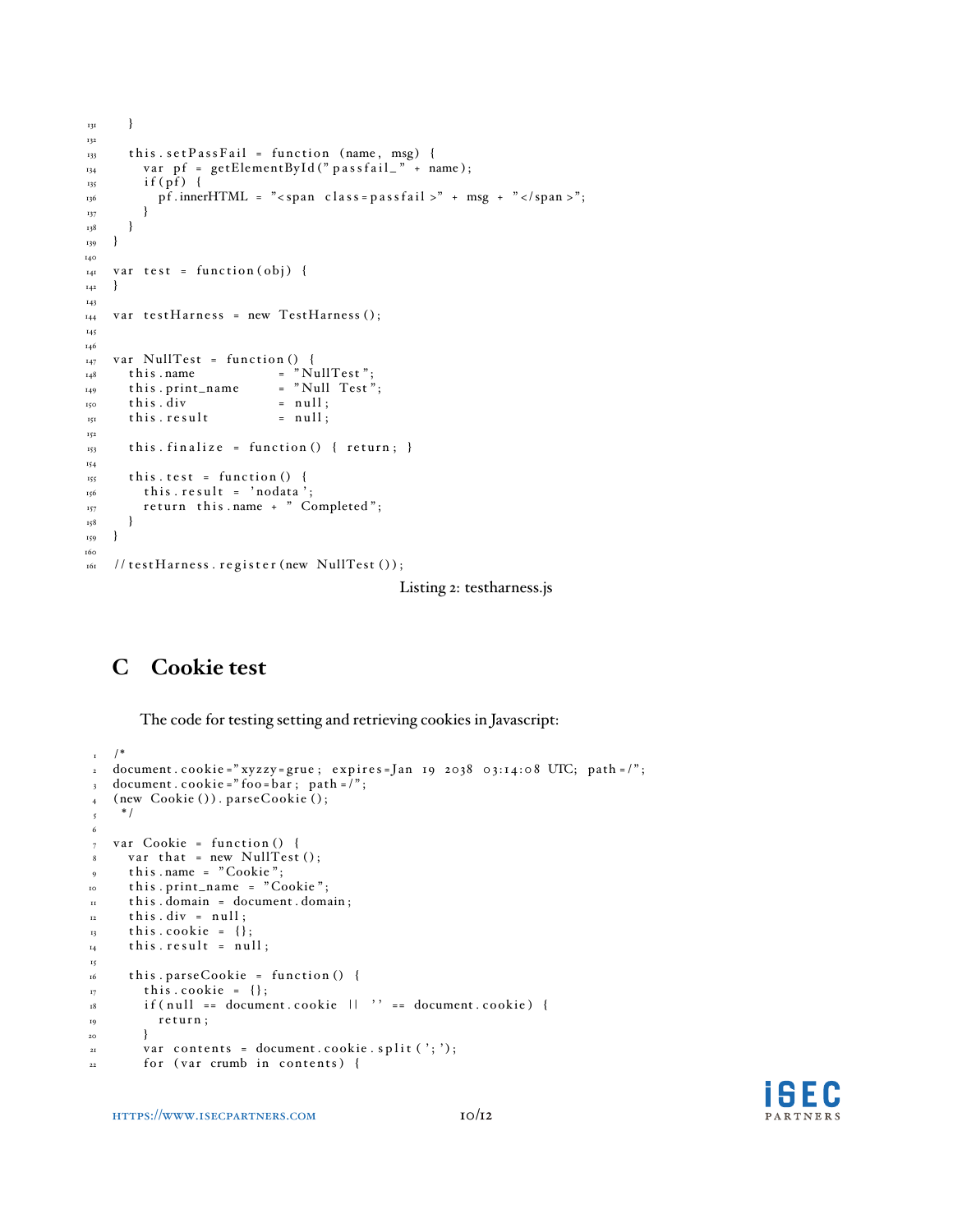```
131 }
132
133 this.set Pass Fail = function (name, msg) {
v_{34} var pf = getElementById("passfail_" + name);
_{135} if (pf) {
_{136} pf.innerHTML = "<span class=passfail >" + msg + "</span >";
137 }
138 }
139 }
140
_{141} var test = function (obj) {
_{142} }
143
_{144} var testHarness = new TestHarness ();
145
146
147 var NullTest = function () {<br>148 this name = "Nu
148 this name = "NullTest";<br>149 this print_name = "Null Test";
149 this . print_name = "Null<br>150 this . div = null;
150 this . div
_{151} this. result = null;
152
153 this finalize = function () { return; }
154
_{155} this.test = function () {
\overline{156} this result = 'nodata';
157 return this name + " Completed";
158 }
159 }
160
161 // testHarness.register (new NullTest ());
```
Listing 2: testharness.js

# **C Cookie test**

The code for testing setting and retrieving cookies in Javascript:

```
_1 /*
\alpha document.cookie="xyzzy=grue; expires=Jan 19 2038 03:14:08 UTC; path=/";
3 document . cookie = "foo = bar; path = \frac{1}{2}";
4 (new Cookie ()). parseCookie ();
5 */
6
7 var Cookie = function () {
\text{var that} = \text{new NullTest}();9 this . name = "Cookie";
10 this . print_name = "Cookie";
n this . domain = document . domain;
12 this. div = null;
13 this cookie = {};
14 this. result = null;
15
16 this . parseCookie = function () {
17 this . cookie = {};
_{18} if (null == document.cookie || '' == document.cookie) {
r_{19} return;
20 }
21 var contents = document.cookie.split (';');_{22} for (var crumb in contents) {
```
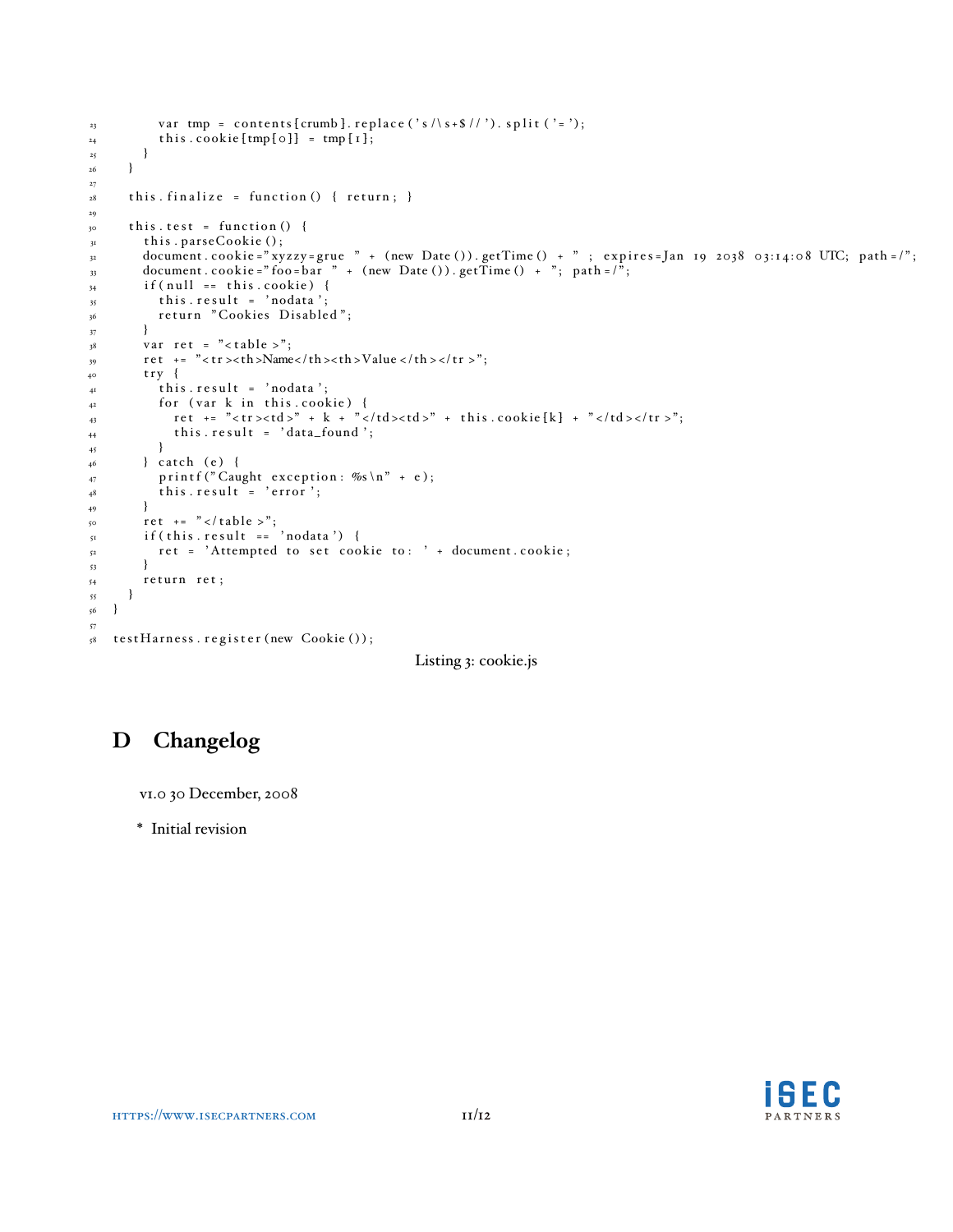```
v var tmp = contents [crumb]. replace ('s /\s+$ //'). split ('=');
_{24} this . cookie [tmp [ 0 ] ] = tmp [ 1 ];
\begin{matrix} 25 & & & \cr & & & \cr 26 & & & \cr \end{matrix}2627
28 this finalize = function () { return; }
29
30 this. test = function () {
31 this . parseCookie ();
document . cookie = " xyzzy = grue " + (new Date ()). getTime () + "; expires = Jan 19 2038 03:14:08 UTC; path = /";
\alpha_{33} document . cookie = "foo=bar " + (new Date ()). getTime () + "; path = /";
_{34} if (null == this . cookie) {
35 this.result = 'nodata';
\begin{array}{c} 36 \\ 37 \end{array} return "Cookies Disabled";
37 }
38 var ret = "<table >";
\text{19} ret += "<tr>> > th >Name</th ><th >Value </th ></tr >";
40 try {
41 this result = 'nodata';
_{42} for (var k in this.cookie) {
43 ret += "<tr><td >" + k + "</td ><td >" + this .cookie [k] + "</td ></tr >";
44 this result = 'data_found';<br>45 }
45\,_{46} } catch (e) {
47 printf ("Caught exception: \%s \n\mid n" + e);
\begin{array}{c} 48 \\ 49 \end{array} this result = 'error';
49 }
_{50} ret += "</table >";
\mathfrak{s}_1 if ( this . result == 'nodata') {
52 ret = 'Attempted to set cookie to: ' + document. cookie;
53 }
54 return ret;
55 }
56 }
57
58 testHarness.register (new Cookie ());
```

```
Listing 3: cookie.js
```
# **D Changelog**

v1.0 30 December, 2008

\* Initial revision